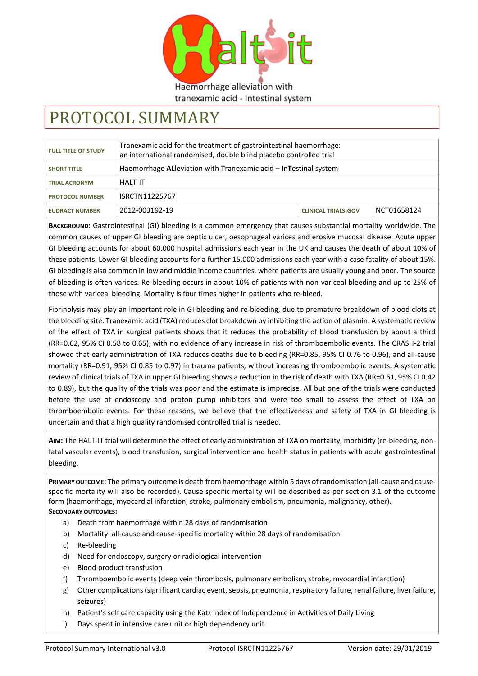

# tranexamic acid - Intestinal system

# PROTOCOL SUMMARY

| <b>FULL TITLE OF STUDY</b> | Tranexamic acid for the treatment of gastrointestinal haemorrhage:<br>an international randomised, double blind placebo controlled trial |                            |             |
|----------------------------|------------------------------------------------------------------------------------------------------------------------------------------|----------------------------|-------------|
| <b>SHORT TITLE</b>         | Haemorrhage AL leviation with Tranexamic acid – In Testinal system                                                                       |                            |             |
| <b>TRIAL ACRONYM</b>       | <b>HAIT-IT</b>                                                                                                                           |                            |             |
| <b>PROTOCOL NUMBER</b>     | ISRCTN11225767                                                                                                                           |                            |             |
| <b>EUDRACT NUMBER</b>      | 2012-003192-19                                                                                                                           | <b>CLINICAL TRIALS.GOV</b> | NCT01658124 |

**BACKGROUND:** Gastrointestinal (GI) bleeding is a common emergency that causes substantial mortality worldwide. The common causes of upper GI bleeding are peptic ulcer, oesophageal varices and erosive mucosal disease. Acute upper GI bleeding accounts for about 60,000 hospital admissions each year in the UK and causes the death of about 10% of these patients. Lower GI bleeding accounts for a further 15,000 admissions each year with a case fatality of about 15%. GI bleeding is also common in low and middle income countries, where patients are usually young and poor. The source of bleeding is often varices. Re-bleeding occurs in about 10% of patients with non-variceal bleeding and up to 25% of those with variceal bleeding. Mortality is four times higher in patients who re-bleed.

Fibrinolysis may play an important role in GI bleeding and re-bleeding, due to premature breakdown of blood clots at the bleeding site. Tranexamic acid (TXA) reduces clot breakdown by inhibiting the action of plasmin. A systematic review of the effect of TXA in surgical patients shows that it reduces the probability of blood transfusion by about a third (RR=0.62, 95% CI 0.58 to 0.65), with no evidence of any increase in risk of thromboembolic events. The CRASH-2 trial showed that early administration of TXA reduces deaths due to bleeding (RR=0.85, 95% CI 0.76 to 0.96), and all-cause mortality (RR=0.91, 95% CI 0.85 to 0.97) in trauma patients, without increasing thromboembolic events. A systematic review of clinical trials of TXA in upper GI bleeding shows a reduction in the risk of death with TXA (RR=0.61, 95% CI 0.42 to 0.89), but the quality of the trials was poor and the estimate is imprecise. All but one of the trials were conducted before the use of endoscopy and proton pump inhibitors and were too small to assess the effect of TXA on thromboembolic events. For these reasons, we believe that the effectiveness and safety of TXA in GI bleeding is uncertain and that a high quality randomised controlled trial is needed.

**AIM:** The HALT-IT trial will determine the effect of early administration of TXA on mortality, morbidity (re-bleeding, nonfatal vascular events), blood transfusion, surgical intervention and health status in patients with acute gastrointestinal bleeding.

**PRIMARY OUTCOME:** The primary outcome is death from haemorrhage within 5 days of randomisation (all-cause and causespecific mortality will also be recorded). Cause specific mortality will be described as per section 3.1 of the outcome form (haemorrhage, myocardial infarction, stroke, pulmonary embolism, pneumonia, malignancy, other). **SECONDARY OUTCOMES:**

- a) Death from haemorrhage within 28 days of randomisation
- b) Mortality: all-cause and cause-specific mortality within 28 days of randomisation
- c) Re-bleeding
- d) Need for endoscopy, surgery or radiological intervention
- e) Blood product transfusion
- f) Thromboembolic events (deep vein thrombosis, pulmonary embolism, stroke, myocardial infarction)
- g) Other complications (significant cardiac event, sepsis, pneumonia, respiratory failure, renal failure, liver failure, seizures)
- h) Patient's self care capacity using the Katz Index of Independence in Activities of Daily Living
- i) Days spent in intensive care unit or high dependency unit